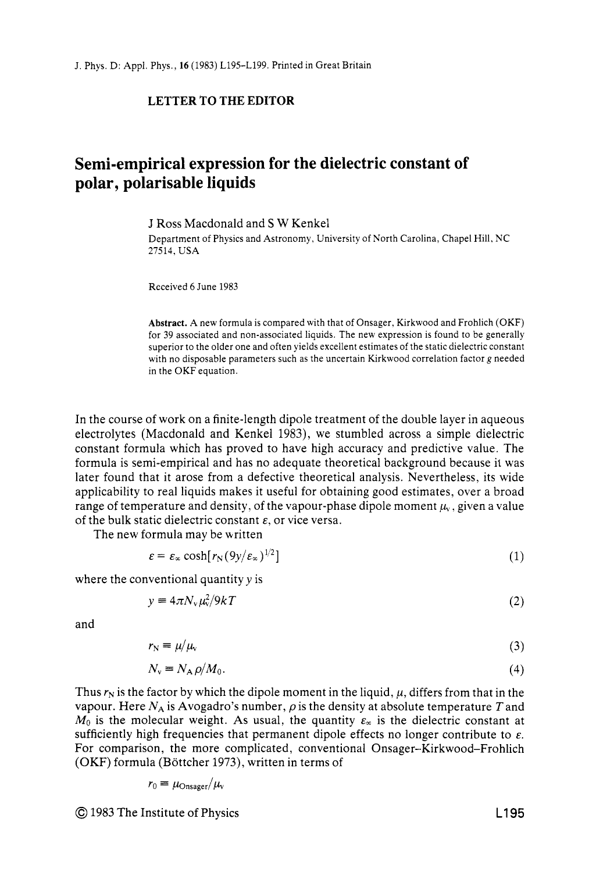## **LETTER TO THE EDITOR**

## **Semi-empirical expression for the dielectric constant of polar, polarisable liquids**

J Ross Macdonald and *S* **W** Kenkel

Department of Physics and Astronomy, University of North Carolina, Chapel Hill, NC 27514, USA

Received **6** June 1983

**Abstract.** A new formula is compared with that of Onsager, Kirkwood and Frohlich (OKF) for 39 associated and non-associated liquids. The new expression is found to be generally superior to the older one and often yields excellent estimates of the static dielectric constant with no disposable parameters such as the uncertain Kirkwood correlation factor g needed in the OKF equation.

In the course of work on a finite-length dipole treatment of the double layer in aqueous electrolytes (Macdonald and Kenkel 1983), we stumbled across a simple dielectric constant formula which has proved to have high accuracy and predictive value. The formula is semi-empirical and has no adequate theoretical background because it was later found that it arose from a defective theoretical analysis. Nevertheless, its wide applicability to real liquids makes it useful for obtaining good estimates, over a broad range of temperature and density, of the vapour-phase dipole moment  $\mu<sub>v</sub>$ , given a value of the bulk static dielectric constant *E,* or vice versa.

The new formula may be written

$$
\varepsilon = \varepsilon_{\infty} \cosh[r_N(9y/\varepsilon_{\infty})^{1/2}] \tag{1}
$$

where the conventional quantity  $y$  is

$$
y = 4\pi N_v \mu_v^2 / 9kT \tag{2}
$$

and

$$
r_{\rm N} \equiv \mu/\mu_{\rm v} \tag{3}
$$

$$
N_{\rm v} \equiv N_{\rm A} \rho / M_0. \tag{4}
$$

Thus  $r_N$  is the factor by which the dipole moment in the liquid,  $\mu$ , differs from that in the vapour. Here  $N_A$  is Avogadro's number,  $\rho$  is the density at absolute temperature T and  $M_0$  is the molecular weight. As usual, the quantity  $\varepsilon_{\infty}$  is the dielectric constant at sufficiently high frequencies that permanent dipole effects no longer contribute to *E.*  For comparison, the more complicated, conventional Onsager-Kirkwood-Frohlich (OKF) formula (Bottcher 1973), written in terms of

$$
r_0 \equiv \mu_{\rm Onsager}/\mu_v
$$

@ 1983 The Institute of Physics L1 95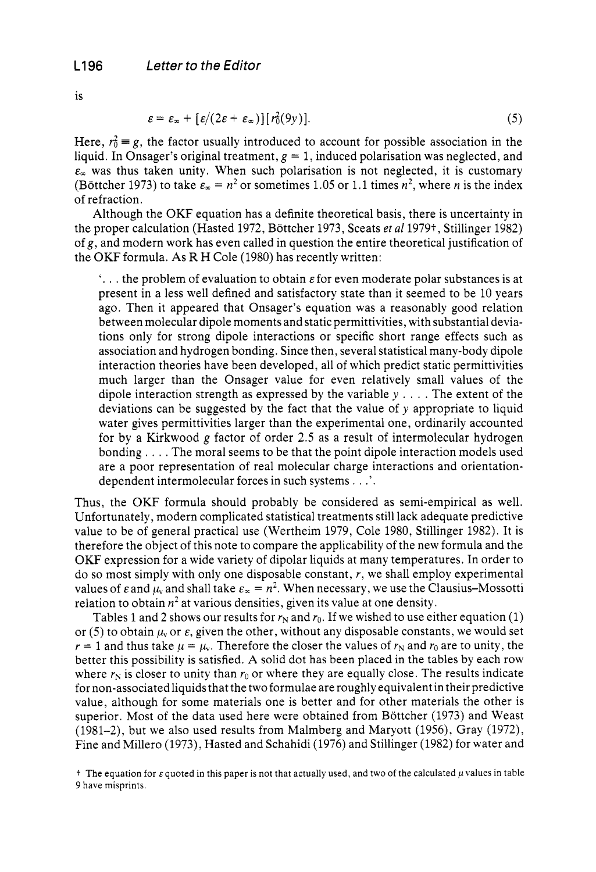is

$$
\varepsilon = \varepsilon_{\infty} + \left[ \varepsilon / (2\varepsilon + \varepsilon_{\infty}) \right] [r_0^2(9y)]. \tag{5}
$$

Here,  $r_0^2 \equiv g$ , the factor usually introduced to account for possible association in the liquid. In Onsager's original treatment,  $g = 1$ , induced polarisation was neglected, and  $\varepsilon_{\infty}$  was thus taken unity. When such polarisation is not neglected, it is customary (Böttcher 1973) to take  $\varepsilon_x = n^2$  or sometimes 1.05 or 1.1 times  $n^2$ , where *n* is the index of refraction.

Although the OKF equation has a definite theoretical basis, there is uncertainty in the proper calculation (Hasted *1972,* Bottcher *1973,* Sceats *et a1 1979t,* Stillinger *1982)*  of *g,* and modern work has even called in question the entire theoretical justification of the OKF formula. As R H Cole *(1980)* has recently written:

'. . . the problem of evaluation to obtain *E* for even moderate polar substances is at present in a less well defined and satisfactory state than it seemed to be *10* years ago. Then it appeared that Onsager's equation was a reasonably good relation between molecular dipole moments and static permittivities, with substantial deviations only for strong dipole interactions or specific short range effects such as association and hydrogen bonding. Since then, several statistical many-body dipole interaction theories have been developed, all of which predict static permittivities much larger than the Onsager value for even relatively small values of the dipole interaction strength as expressed by the variable *y* . . . . The extent of the deviations can be suggested by the fact that the value of *y* appropriate to liquid water gives permittivities larger than the experimental one, ordinarily accounted for by a Kirkwood g factor of order *2.5* as a result of intermolecular hydrogen bonding , . , . The moral seems to be that the point dipole interaction models used are a poor representation of real molecular charge interactions and orientationdependent intermolecular forces in such systems . . .'.

Thus, the OKF formula should probably be considered as semi-empirical as well. Unfortunately, modern complicated statistical treatments still lack adequate predictive value to be of general practical use (Wertheim *1979,* Cole *1980,* Stillinger *1982).* It is therefore the object of this note to compare the applicability of the new formula and the OKF expression for a wide variety of dipolar liquids at many temperatures. In order to do so most simply with only one disposable constant, *r,* we shall employ experimental values of  $\varepsilon$  and  $\mu$ , and shall take  $\varepsilon_x = n^2$ . When necessary, we use the Clausius-Mossotti relation to obtain  $n^2$  at various densities, given its value at one density.

Tables 1 and 2 shows our results for  $r_N$  and  $r_0$ . If we wished to use either equation (1) or (5) to obtain  $\mu$  or  $\varepsilon$ , given the other, without any disposable constants, we would set  $r = 1$  and thus take  $\mu = \mu_v$ . Therefore the closer the values of  $r_N$  and  $r_0$  are to unity, the better this possibility is satisfied. A solid dot has been placed in the tables by each row where  $r_N$  is closer to unity than  $r_0$  or where they are equally close. The results indicate for non-associated liquids that the two formulae are roughly equivalent in their predictive value, although for some materials one is better and for other materials the other is superior. Most of the data used here were obtained from Bottcher *(1973)* and Weast *(1981-2),* but we also used results from Malmberg and Maryott *(1956),* Gray *(1972),*  Fine and Miller0 *(1973),* Hasted and Schahidi *(1976)* and Stillinger *(1982)* for water and

 $+$  The equation for  $\varepsilon$  quoted in this paper is not that actually used, and two of the calculated  $\mu$  values in table 9 have misprints.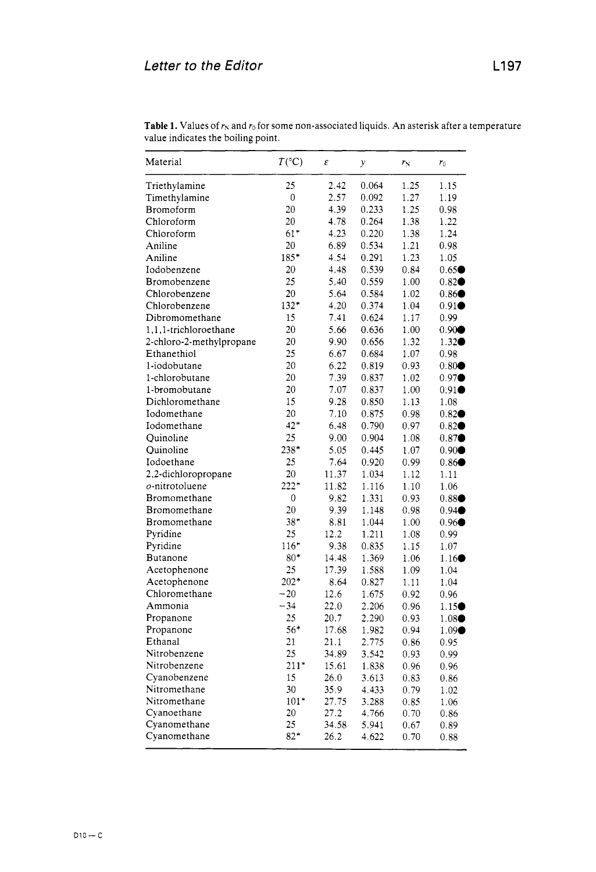| Material                 | $T(^{\circ}C)$ | ε     | у     | $r_{\rm N}$ | $r_0$               |
|--------------------------|----------------|-------|-------|-------------|---------------------|
| Triethylamine            | 25             | 2.42  | 0.064 | 1.25        | 1.15                |
| Timethylamine            | 0              | 2.57  | 0.092 | 1.27        | 1.19                |
| Bromoform                | 20             | 4.39  | 0.233 | 1.25        | 0.98                |
| Chloroform               | 20             | 4.78  | 0.264 | 1.38        | 1.22                |
| Chloroform               | $61*$          | 4.23  | 0.220 | 1.38        | 1.24                |
| Aniline                  | 20             | 6.89  | 0.534 | 1.21        | 0.98                |
| Aniline                  | $185*$         | 4.54  | 0.291 | 1.23        | 1.05                |
| Iodobenzene              | 20             | 4.48  | 0.539 | 0.84        | 0.65                |
| Bromobenzene             | 25             | 5.40  | 0.559 | 1.00        | $0.82 \bullet$      |
| Chlorobenzene            | 20             | 5.64  | 0.584 | 1.02        | 0.86 <sup>•</sup>   |
| Chlorobenzene            | $132*$         | 4.20  | 0.374 | 1.04        | $0.91\bullet$       |
| Dibromomethane           | 15             | 7.41  | 0.624 | 1.17        | 0.99                |
| 1.1.1-trichloroethane    | 20             | 5.66  | 0.636 | 1.00        | $0.90 \bullet$      |
| 2-chloro-2-methylpropane | 20             | 9.90  | 0.656 | 1.32        | $1.32 \bullet$      |
| Ethanethiol              | 25             | 6.67  | 0.684 | 1.07        | 0.98                |
| 1-iodobutane             | 20             | 6.22  | 0.819 | 0.93        | $0.80 \bullet$      |
| 1-chlorobutane           | 20             | 7.39  | 0.837 | 1.02        | 0.97                |
| 1-bromobutane            | 20             | 7.07  | 0.837 | 1.00        | 0.91                |
| Dichloromethane          | 15             | 9.28  | 0.850 | 1.13        | 1.08                |
| Iodomethane              | 20             | 7.10  | 0.875 | 0.98        | $0.82 \bullet$      |
| Iodomethane              | $42*$          | 6.48  | 0.790 | 0.97        | $0.82 \bullet$      |
| Ouinoline                | 25             | 9.00  | 0.904 | 1.08        | $0.87$ <sup>O</sup> |
| Quinoline                | $238*$         | 5.05  | 0.445 | 1.07        | $0.90 \bullet$      |
| Iodoethane               | 25             | 7.64  | 0.920 | 0.99        | 0.86                |
| 2,2-dichloropropane      | 20             | 11.37 | 1.034 | 1.12        | 1.11                |
| o-nitrotoluene           | $222*$         | 11.82 | 1.116 | 1.10        | 1.06                |
| Bromomethane             | 0              | 9.82  | 1.331 | 0.93        | $0.88 \bullet$      |
| Bromomethane             | 20             | 9.39  | 1.148 | 0.98        | 0.94 <sup>o</sup>   |
| Bromomethane             | $38*$          | 8.81  | 1.044 | 1.00        | 0.96                |
| Pyridine                 | 25             | 12.2  | 1.211 | 1.08        | 0.99                |
| Pyridine                 | $116*$         | 9.38  | 0.835 | 1.15        | 1.07                |
| <b>Butanone</b>          | $80*$          | 14.48 | 1.369 | 1.06        | 1.16 <sup>o</sup>   |
| Acetophenone             | 25             | 17.39 | 1.588 | 1.09        | 1.04                |
| Acetophenone             | $202*$         | 8.64  | 0.827 | 1.11        | 1.04                |
| Chloromethane            | $-20$          | 12.6  | 1.675 | 0.92        | 0.96                |
| Ammonia                  | $-34$          | 22.0  | 2.206 | 0.96        | 1.15 <sup>•</sup>   |
| Propanone                | 25             | 20.7  | 2.290 | 0.93        | $1.08 \bullet$      |
| Propanone                | 56*            | 17.68 | 1.982 | 0.94        | 1.09                |
| Ethanal                  | 21             | 21.1  | 2.775 | 0.86        | 0.95                |
| Nitrobenzene             | 25             | 34.89 | 3.542 | 0.93        | 0.99                |
| Nitrobenzene             | $211*$         | 15.61 | 1.838 | 0.96        | 0.96                |
| Cyanobenzene             | 15             | 26.0  | 3.613 | 0.83        | 0.86                |
| Nitromethane             | 30             | 35.9  | 4.433 | 0.79        | 1.02                |
| Nitromethane             | $101*$         | 27.75 | 3.288 | 0.85        | 1.06                |
| Cyanoethane              | 20             | 27.2  | 4.766 | 0.70        | 0.86                |
| Cyanomethane             | 25             | 34.58 | 5.941 | 0.67        | 0.89                |
| Cyanomethane             | $82*$          | 26.2  | 4.622 | 0.70        | 0.88                |

**Table 1.** Values of  $r_N$  and  $r_0$  for some non-associated liquids. An asterisk after a temperature value indicates the boiling point.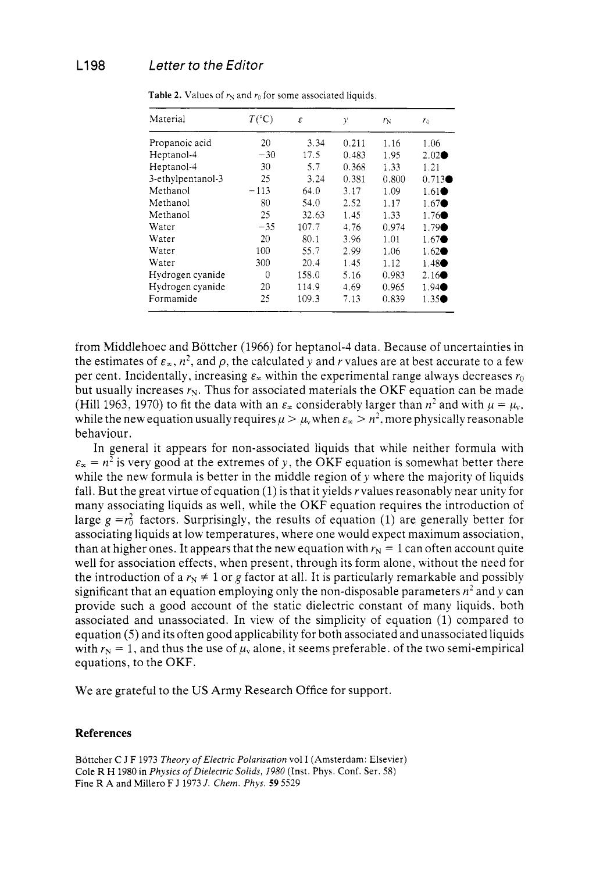| Material          | $T(^{\circ}C)$ | ε     | y     | $r_{\rm N}$ | $r_0$             |
|-------------------|----------------|-------|-------|-------------|-------------------|
| Propanoic acid    | 20             | 3.34  | 0.211 | 1.16        | 1.06              |
| Heptanol-4        | $-30$          | 17.5  | 0.483 | 1.95        | $2.02 \bullet$    |
| Heptanol-4        | 30             | 5.7   | 0.368 | 1.33        | 1.21              |
| 3-ethylpentanol-3 | 25             | 3.24  | 0.381 | 0.800       | $0.713 \bullet$   |
| Methanol          | $-113$         | 64.0  | 3.17  | 1.09        | $1.61 \bullet$    |
| Methanol          | 80             | 54.0  | 2.52  | 1.17        | 1.67              |
| Methanol          | 25             | 32.63 | 1.45  | 1.33        | 1.76              |
| Water             | $-35$          | 107.7 | 4.76  | 0.974       | 1.79              |
| Water             | 20             | 80.1  | 3.96  | 1.01        | $1.67 \bullet$    |
| Water             | 100            | 55.7  | 2.99  | 1.06        | $1.62 \bullet$    |
| Water             | 300            | 20.4  | 1.45  | 1.12        | 1.48              |
| Hydrogen cyanide  | 0              | 158.0 | 5.16  | 0.983       | 2.16 <sup>o</sup> |
| Hydrogen cyanide  | 20             | 114.9 | 4.69  | 0.965       | 1.94              |
| Formamide         | 25             | 109.3 | 7.13  | 0.839       | $1.35\bullet$     |

**Table 2.** Values of *r\* and *ro* for some associated liquids.

from Middlehoec and Bottcher (1966) for heptanol-4 data. Because of uncertainties in the estimates of  $\varepsilon_x$ ,  $n^2$ , and  $\rho$ , the calculated y and r values are at best accurate to a few per cent. Incidentally, increasing  $\varepsilon_{\infty}$  within the experimental range always decreases  $r_0$ but usually increases  $r_N$ . Thus for associated materials the OKF equation can be made (Hill 1963, 1970) to fit the data with an  $\varepsilon_x$  considerably larger than  $n^2$  and with  $\mu = \mu_v$ , while the new equation usually requires  $\mu > \mu$ , when  $\varepsilon_x > n^2$ , more physically reasonable behaviour.

In general it appears for non-associated liquids that while neither formula with  $\varepsilon_{\alpha} = n^2$  is very good at the extremes of y, the OKF equation is somewhat better there while the new formula is better in the middle region of *y* where the majority of liquids fall. But the great virtue of equation  $(1)$  is that it yields r values reasonably near unity for many associating liquids as well, while the OKF equation requires the introduction of large  $g = r_0^2$  factors. Surprisingly, the results of equation (1) are generally better for associating liquids at low temperatures, where one would expect maximum association, than at higher ones. It appears that the new equation with  $r_N = 1$  can often account quite well for association effects, when present, through its form alone, without the need for the introduction of a  $r_N \neq 1$  or g factor at all. It is particularly remarkable and possibly significant that an equation employing only the non-disposable parameters *n'* and *y* can provide such a good account of the static dielectric constant of many liquids. both associated and unassociated. In view of the simplicity of equation (1) compared to equation *(5)* and its often good applicability for both associated and unassociated liquids with  $r_N = 1$ , and thus the use of  $\mu_v$  alone, it seems preferable. of the two semi-empirical equations, to the OKF.

We are grateful to the US Army Research Office for support.

## **References**

Böttcher *C J F 1973 Theory of Electric Polarisation* vol I (Amsterdam: Elsevier) Cole R H 1980 in *Physics of Dielectric Solids, 1980* (Inst. Phys. Conf. Ser. 58) Fine R **A** and Miller0 F J 1973 *J. Chern. Phys. 59* 5529